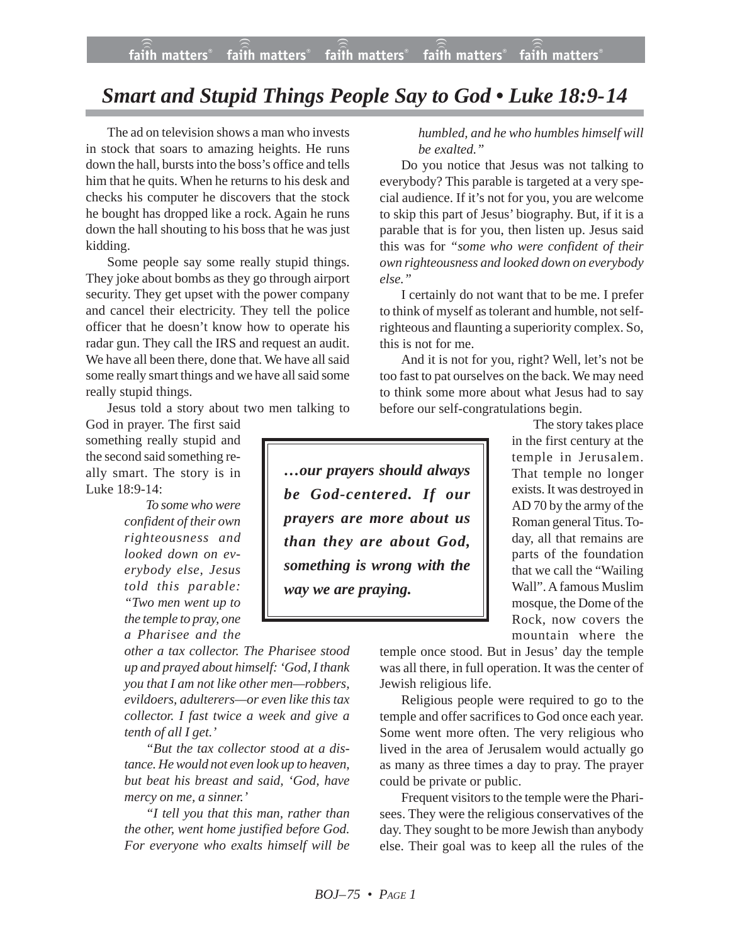## *Smart and Stupid Things People Say to God • Luke 18:9-14*

The ad on television shows a man who invests in stock that soars to amazing heights. He runs down the hall, bursts into the boss's office and tells him that he quits. When he returns to his desk and checks his computer he discovers that the stock he bought has dropped like a rock. Again he runs down the hall shouting to his boss that he was just kidding.

Some people say some really stupid things. They joke about bombs as they go through airport security. They get upset with the power company and cancel their electricity. They tell the police officer that he doesn't know how to operate his radar gun. They call the IRS and request an audit. We have all been there, done that. We have all said some really smart things and we have all said some really stupid things.

Jesus told a story about two men talking to

God in prayer. The first said something really stupid and the second said something really smart. The story is in Luke 18:9-14:

> *To some who were confident of their own righteousness and looked down on everybody else, Jesus told this parable: "Two men went up to the temple to pray, one a Pharisee and the*

*other a tax collector. The Pharisee stood up and prayed about himself: 'God, I thank you that I am not like other men—robbers, evildoers, adulterers—or even like this tax collector. I fast twice a week and give a tenth of all I get.'*

*"But the tax collector stood at a distance. He would not even look up to heaven, but beat his breast and said, 'God, have mercy on me, a sinner.'*

*"I tell you that this man, rather than the other, went home justified before God. For everyone who exalts himself will be* *humbled, and he who humbles himself will be exalted."*

Do you notice that Jesus was not talking to everybody? This parable is targeted at a very special audience. If it's not for you, you are welcome to skip this part of Jesus' biography. But, if it is a parable that is for you, then listen up. Jesus said this was for *"some who were confident of their own righteousness and looked down on everybody else."*

I certainly do not want that to be me. I prefer to think of myself as tolerant and humble, not selfrighteous and flaunting a superiority complex. So, this is not for me.

And it is not for you, right? Well, let's not be too fast to pat ourselves on the back. We may need to think some more about what Jesus had to say before our self-congratulations begin.

*…our prayers should always be God-centered. If our prayers are more about us than they are about God, something is wrong with the way we are praying.*

The story takes place in the first century at the temple in Jerusalem. That temple no longer exists. It was destroyed in AD 70 by the army of the Roman general Titus. Today, all that remains are parts of the foundation that we call the "Wailing Wall". A famous Muslim mosque, the Dome of the Rock, now covers the mountain where the

temple once stood. But in Jesus' day the temple was all there, in full operation. It was the center of Jewish religious life.

Religious people were required to go to the temple and offer sacrifices to God once each year. Some went more often. The very religious who lived in the area of Jerusalem would actually go as many as three times a day to pray. The prayer could be private or public.

Frequent visitors to the temple were the Pharisees. They were the religious conservatives of the day. They sought to be more Jewish than anybody else. Their goal was to keep all the rules of the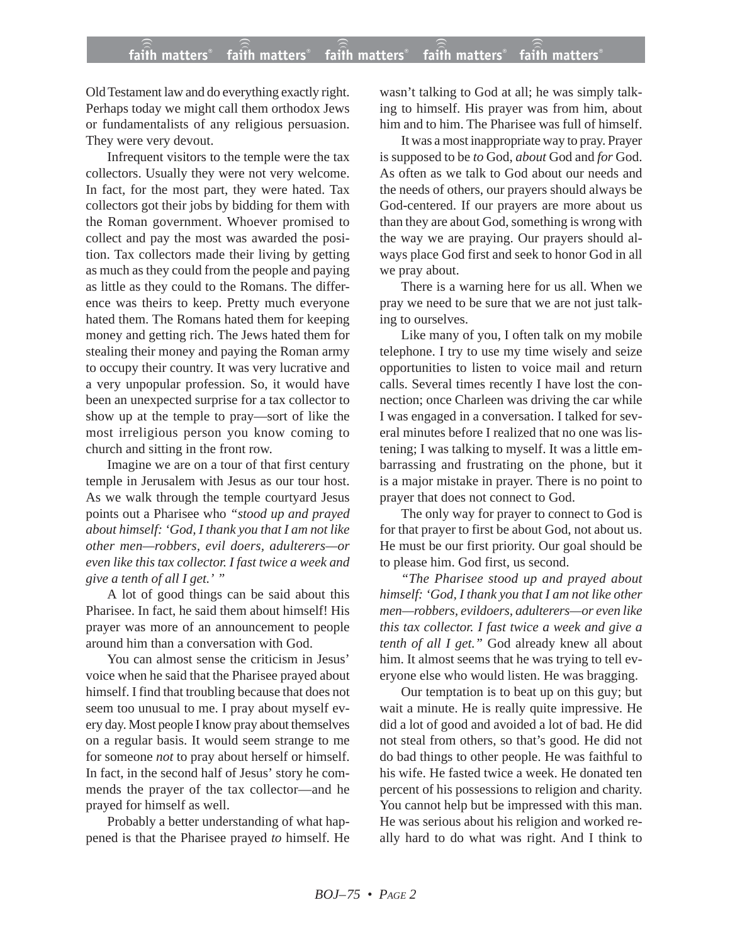Old Testament law and do everything exactly right. Perhaps today we might call them orthodox Jews or fundamentalists of any religious persuasion. They were very devout.

Infrequent visitors to the temple were the tax collectors. Usually they were not very welcome. In fact, for the most part, they were hated. Tax collectors got their jobs by bidding for them with the Roman government. Whoever promised to collect and pay the most was awarded the position. Tax collectors made their living by getting as much as they could from the people and paying as little as they could to the Romans. The difference was theirs to keep. Pretty much everyone hated them. The Romans hated them for keeping money and getting rich. The Jews hated them for stealing their money and paying the Roman army to occupy their country. It was very lucrative and a very unpopular profession. So, it would have been an unexpected surprise for a tax collector to show up at the temple to pray—sort of like the most irreligious person you know coming to church and sitting in the front row.

Imagine we are on a tour of that first century temple in Jerusalem with Jesus as our tour host. As we walk through the temple courtyard Jesus points out a Pharisee who *"stood up and prayed about himself: 'God, I thank you that I am not like other men—robbers, evil doers, adulterers—or even like this tax collector. I fast twice a week and give a tenth of all I get.' "*

A lot of good things can be said about this Pharisee. In fact, he said them about himself! His prayer was more of an announcement to people around him than a conversation with God.

You can almost sense the criticism in Jesus' voice when he said that the Pharisee prayed about himself. I find that troubling because that does not seem too unusual to me. I pray about myself every day. Most people I know pray about themselves on a regular basis. It would seem strange to me for someone *not* to pray about herself or himself. In fact, in the second half of Jesus' story he commends the prayer of the tax collector—and he prayed for himself as well.

Probably a better understanding of what happened is that the Pharisee prayed *to* himself. He wasn't talking to God at all; he was simply talking to himself. His prayer was from him, about him and to him. The Pharisee was full of himself.

It was a most inappropriate way to pray. Prayer is supposed to be *to* God, *about* God and *for* God. As often as we talk to God about our needs and the needs of others, our prayers should always be God-centered. If our prayers are more about us than they are about God, something is wrong with the way we are praying. Our prayers should always place God first and seek to honor God in all we pray about.

There is a warning here for us all. When we pray we need to be sure that we are not just talking to ourselves.

Like many of you, I often talk on my mobile telephone. I try to use my time wisely and seize opportunities to listen to voice mail and return calls. Several times recently I have lost the connection; once Charleen was driving the car while I was engaged in a conversation. I talked for several minutes before I realized that no one was listening; I was talking to myself. It was a little embarrassing and frustrating on the phone, but it is a major mistake in prayer. There is no point to prayer that does not connect to God.

The only way for prayer to connect to God is for that prayer to first be about God, not about us. He must be our first priority. Our goal should be to please him. God first, us second.

*"The Pharisee stood up and prayed about himself: 'God, I thank you that I am not like other men—robbers, evildoers, adulterers—or even like this tax collector. I fast twice a week and give a tenth of all I get."* God already knew all about him. It almost seems that he was trying to tell everyone else who would listen. He was bragging.

Our temptation is to beat up on this guy; but wait a minute. He is really quite impressive. He did a lot of good and avoided a lot of bad. He did not steal from others, so that's good. He did not do bad things to other people. He was faithful to his wife. He fasted twice a week. He donated ten percent of his possessions to religion and charity. You cannot help but be impressed with this man. He was serious about his religion and worked really hard to do what was right. And I think to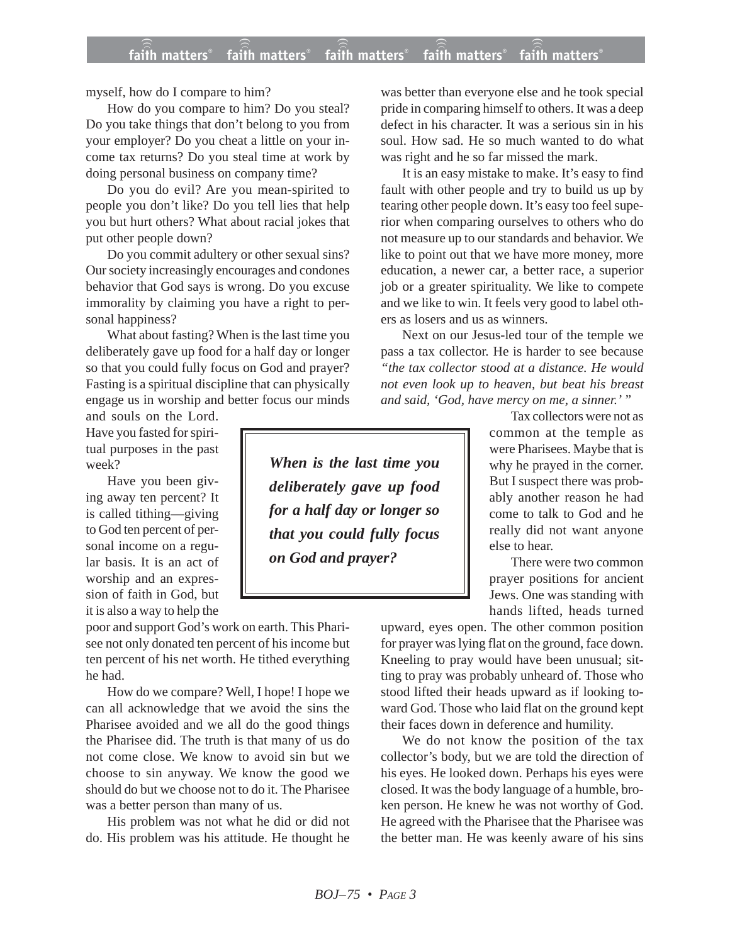myself, how do I compare to him?

How do you compare to him? Do you steal? Do you take things that don't belong to you from your employer? Do you cheat a little on your income tax returns? Do you steal time at work by doing personal business on company time?

Do you do evil? Are you mean-spirited to people you don't like? Do you tell lies that help you but hurt others? What about racial jokes that put other people down?

Do you commit adultery or other sexual sins? Our society increasingly encourages and condones behavior that God says is wrong. Do you excuse immorality by claiming you have a right to personal happiness?

What about fasting? When is the last time you deliberately gave up food for a half day or longer so that you could fully focus on God and prayer? Fasting is a spiritual discipline that can physically engage us in worship and better focus our minds

and souls on the Lord. Have you fasted for spiritual purposes in the past week?

Have you been giving away ten percent? It is called tithing—giving to God ten percent of personal income on a regular basis. It is an act of worship and an expression of faith in God, but it is also a way to help the

poor and support God's work on earth. This Pharisee not only donated ten percent of his income but ten percent of his net worth. He tithed everything he had.

How do we compare? Well, I hope! I hope we can all acknowledge that we avoid the sins the Pharisee avoided and we all do the good things the Pharisee did. The truth is that many of us do not come close. We know to avoid sin but we choose to sin anyway. We know the good we should do but we choose not to do it. The Pharisee was a better person than many of us.

His problem was not what he did or did not do. His problem was his attitude. He thought he

was better than everyone else and he took special pride in comparing himself to others. It was a deep defect in his character. It was a serious sin in his soul. How sad. He so much wanted to do what was right and he so far missed the mark.

It is an easy mistake to make. It's easy to find fault with other people and try to build us up by tearing other people down. It's easy too feel superior when comparing ourselves to others who do not measure up to our standards and behavior. We like to point out that we have more money, more education, a newer car, a better race, a superior job or a greater spirituality. We like to compete and we like to win. It feels very good to label others as losers and us as winners.

Next on our Jesus-led tour of the temple we pass a tax collector. He is harder to see because *"the tax collector stood at a distance. He would not even look up to heaven, but beat his breast and said, 'God, have mercy on me, a sinner.' "*

> Tax collectors were not as common at the temple as were Pharisees. Maybe that is why he prayed in the corner. But I suspect there was probably another reason he had come to talk to God and he really did not want anyone else to hear.

> There were two common prayer positions for ancient Jews. One was standing with hands lifted, heads turned

upward, eyes open. The other common position for prayer was lying flat on the ground, face down. Kneeling to pray would have been unusual; sitting to pray was probably unheard of. Those who stood lifted their heads upward as if looking toward God. Those who laid flat on the ground kept their faces down in deference and humility.

We do not know the position of the tax collector's body, but we are told the direction of his eyes. He looked down. Perhaps his eyes were closed. It was the body language of a humble, broken person. He knew he was not worthy of God. He agreed with the Pharisee that the Pharisee was the better man. He was keenly aware of his sins

*When is the last time you deliberately gave up food for a half day or longer so that you could fully focus on God and prayer?*